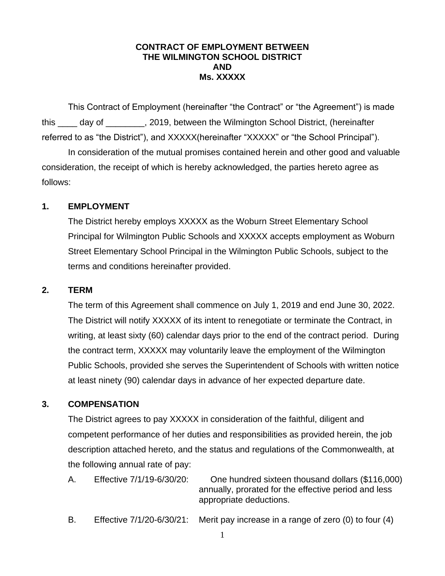#### **CONTRACT OF EMPLOYMENT BETWEEN THE WILMINGTON SCHOOL DISTRICT AND Ms. XXXXX**

This Contract of Employment (hereinafter "the Contract" or "the Agreement") is made this \_\_\_\_ day of \_\_\_\_\_\_\_\_, 2019, between the Wilmington School District, (hereinafter referred to as "the District"), and XXXXX(hereinafter "XXXXX" or "the School Principal").

In consideration of the mutual promises contained herein and other good and valuable consideration, the receipt of which is hereby acknowledged, the parties hereto agree as follows:

#### **1. EMPLOYMENT**

The District hereby employs XXXXX as the Woburn Street Elementary School Principal for Wilmington Public Schools and XXXXX accepts employment as Woburn Street Elementary School Principal in the Wilmington Public Schools, subject to the terms and conditions hereinafter provided.

#### **2. TERM**

The term of this Agreement shall commence on July 1, 2019 and end June 30, 2022. The District will notify XXXXX of its intent to renegotiate or terminate the Contract, in writing, at least sixty (60) calendar days prior to the end of the contract period. During the contract term, XXXXX may voluntarily leave the employment of the Wilmington Public Schools, provided she serves the Superintendent of Schools with written notice at least ninety (90) calendar days in advance of her expected departure date.

### **3. COMPENSATION**

The District agrees to pay XXXXX in consideration of the faithful, diligent and competent performance of her duties and responsibilities as provided herein, the job description attached hereto, and the status and regulations of the Commonwealth, at the following annual rate of pay:

| Α. | Effective 7/1/19-6/30/20: | One hundred sixteen thousand dollars (\$116,000)     |
|----|---------------------------|------------------------------------------------------|
|    |                           | annually, prorated for the effective period and less |
|    |                           | appropriate deductions.                              |
|    |                           |                                                      |

B. Effective 7/1/20-6/30/21: Merit pay increase in a range of zero (0) to four (4)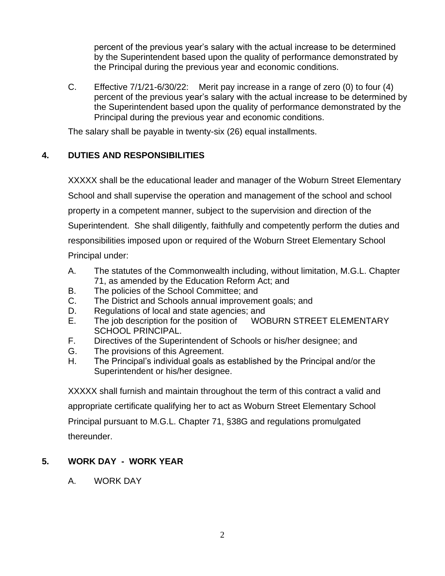percent of the previous year's salary with the actual increase to be determined by the Superintendent based upon the quality of performance demonstrated by the Principal during the previous year and economic conditions.

C. Effective 7/1/21-6/30/22: Merit pay increase in a range of zero (0) to four (4) percent of the previous year's salary with the actual increase to be determined by the Superintendent based upon the quality of performance demonstrated by the Principal during the previous year and economic conditions.

The salary shall be payable in twenty-six (26) equal installments.

# **4. DUTIES AND RESPONSIBILITIES**

XXXXX shall be the educational leader and manager of the Woburn Street Elementary School and shall supervise the operation and management of the school and school property in a competent manner, subject to the supervision and direction of the Superintendent. She shall diligently, faithfully and competently perform the duties and responsibilities imposed upon or required of the Woburn Street Elementary School Principal under:

- A. The statutes of the Commonwealth including, without limitation, M.G.L. Chapter 71, as amended by the Education Reform Act; and
- B. The policies of the School Committee; and
- C. The District and Schools annual improvement goals; and
- D. Regulations of local and state agencies; and
- E. The job description for the position of WOBURN STREET ELEMENTARY SCHOOL PRINCIPAL.
- F. Directives of the Superintendent of Schools or his/her designee; and
- G. The provisions of this Agreement.
- H. The Principal's individual goals as established by the Principal and/or the Superintendent or his/her designee.

XXXXX shall furnish and maintain throughout the term of this contract a valid and appropriate certificate qualifying her to act as Woburn Street Elementary School Principal pursuant to M.G.L. Chapter 71, §38G and regulations promulgated thereunder.

# **5. WORK DAY - WORK YEAR**

A. WORK DAY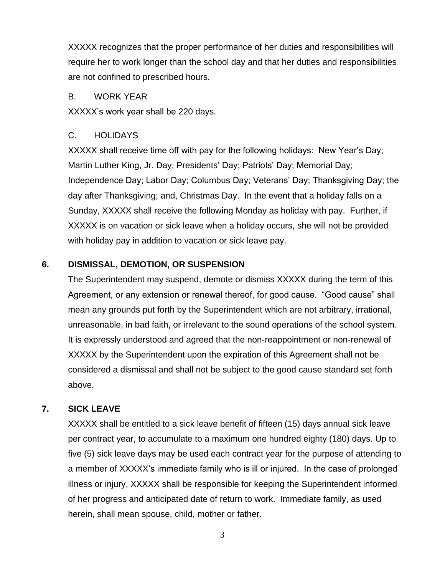XXXXX recognizes that the proper performance of her duties and responsibilities will require her to work longer than the school day and that her duties and responsibilities are not confined to prescribed hours.

### B. WORK YEAR

XXXXX's work year shall be 220 days.

## C. HOLIDAYS

XXXXX shall receive time off with pay for the following holidays: New Year's Day; Martin Luther King, Jr. Day; Presidents' Day; Patriots' Day; Memorial Day; Independence Day; Labor Day; Columbus Day; Veterans' Day; Thanksgiving Day; the day after Thanksgiving; and, Christmas Day. In the event that a holiday falls on a Sunday, XXXXX shall receive the following Monday as holiday with pay. Further, if XXXXX is on vacation or sick leave when a holiday occurs, she will not be provided with holiday pay in addition to vacation or sick leave pay.

# **6. DISMISSAL, DEMOTION, OR SUSPENSION**

The Superintendent may suspend, demote or dismiss XXXXX during the term of this Agreement, or any extension or renewal thereof, for good cause. "Good cause" shall mean any grounds put forth by the Superintendent which are not arbitrary, irrational, unreasonable, in bad faith, or irrelevant to the sound operations of the school system. It is expressly understood and agreed that the non-reappointment or non-renewal of XXXXX by the Superintendent upon the expiration of this Agreement shall not be considered a dismissal and shall not be subject to the good cause standard set forth above.

## **7. SICK LEAVE**

XXXXX shall be entitled to a sick leave benefit of fifteen (15) days annual sick leave per contract year, to accumulate to a maximum one hundred eighty (180) days. Up to five (5) sick leave days may be used each contract year for the purpose of attending to a member of XXXXX's immediate family who is ill or injured. In the case of prolonged illness or injury, XXXXX shall be responsible for keeping the Superintendent informed of her progress and anticipated date of return to work. Immediate family, as used herein, shall mean spouse, child, mother or father.

3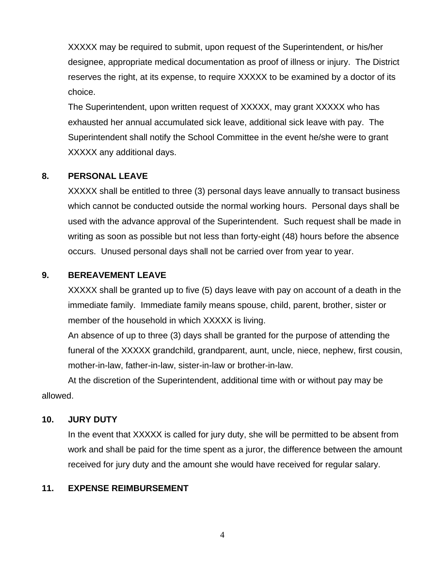XXXXX may be required to submit, upon request of the Superintendent, or his/her designee, appropriate medical documentation as proof of illness or injury. The District reserves the right, at its expense, to require XXXXX to be examined by a doctor of its choice.

The Superintendent, upon written request of XXXXX, may grant XXXXX who has exhausted her annual accumulated sick leave, additional sick leave with pay. The Superintendent shall notify the School Committee in the event he/she were to grant XXXXX any additional days.

## **8. PERSONAL LEAVE**

XXXXX shall be entitled to three (3) personal days leave annually to transact business which cannot be conducted outside the normal working hours. Personal days shall be used with the advance approval of the Superintendent. Such request shall be made in writing as soon as possible but not less than forty-eight (48) hours before the absence occurs. Unused personal days shall not be carried over from year to year.

## **9. BEREAVEMENT LEAVE**

XXXXX shall be granted up to five (5) days leave with pay on account of a death in the immediate family. Immediate family means spouse, child, parent, brother, sister or member of the household in which XXXXX is living.

An absence of up to three (3) days shall be granted for the purpose of attending the funeral of the XXXXX grandchild, grandparent, aunt, uncle, niece, nephew, first cousin, mother-in-law, father-in-law, sister-in-law or brother-in-law.

At the discretion of the Superintendent, additional time with or without pay may be allowed.

### **10. JURY DUTY**

In the event that XXXXX is called for jury duty, she will be permitted to be absent from work and shall be paid for the time spent as a juror, the difference between the amount received for jury duty and the amount she would have received for regular salary.

### **11. EXPENSE REIMBURSEMENT**

4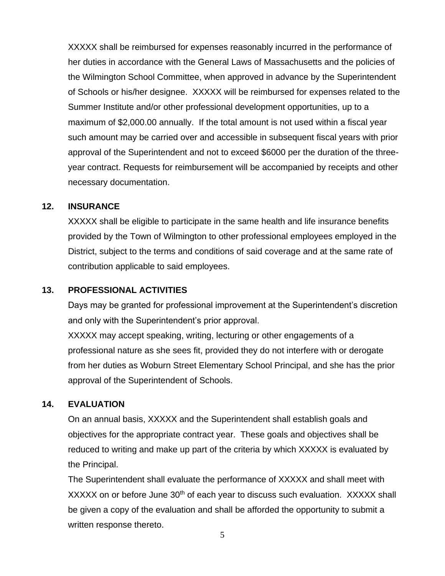XXXXX shall be reimbursed for expenses reasonably incurred in the performance of her duties in accordance with the General Laws of Massachusetts and the policies of the Wilmington School Committee, when approved in advance by the Superintendent of Schools or his/her designee. XXXXX will be reimbursed for expenses related to the Summer Institute and/or other professional development opportunities, up to a maximum of \$2,000.00 annually. If the total amount is not used within a fiscal year such amount may be carried over and accessible in subsequent fiscal years with prior approval of the Superintendent and not to exceed \$6000 per the duration of the threeyear contract. Requests for reimbursement will be accompanied by receipts and other necessary documentation.

#### **12. INSURANCE**

XXXXX shall be eligible to participate in the same health and life insurance benefits provided by the Town of Wilmington to other professional employees employed in the District, subject to the terms and conditions of said coverage and at the same rate of contribution applicable to said employees.

### **13. PROFESSIONAL ACTIVITIES**

Days may be granted for professional improvement at the Superintendent's discretion and only with the Superintendent's prior approval.

XXXXX may accept speaking, writing, lecturing or other engagements of a professional nature as she sees fit, provided they do not interfere with or derogate from her duties as Woburn Street Elementary School Principal, and she has the prior approval of the Superintendent of Schools.

### **14. EVALUATION**

On an annual basis, XXXXX and the Superintendent shall establish goals and objectives for the appropriate contract year. These goals and objectives shall be reduced to writing and make up part of the criteria by which XXXXX is evaluated by the Principal.

The Superintendent shall evaluate the performance of XXXXX and shall meet with XXXXX on or before June 30<sup>th</sup> of each year to discuss such evaluation. XXXXX shall be given a copy of the evaluation and shall be afforded the opportunity to submit a written response thereto.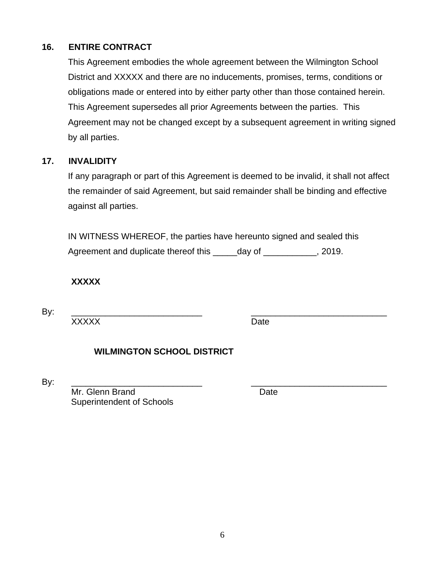# **16. ENTIRE CONTRACT**

This Agreement embodies the whole agreement between the Wilmington School District and XXXXX and there are no inducements, promises, terms, conditions or obligations made or entered into by either party other than those contained herein. This Agreement supersedes all prior Agreements between the parties. This Agreement may not be changed except by a subsequent agreement in writing signed by all parties.

## **17. INVALIDITY**

If any paragraph or part of this Agreement is deemed to be invalid, it shall not affect the remainder of said Agreement, but said remainder shall be binding and effective against all parties.

IN WITNESS WHEREOF, the parties have hereunto signed and sealed this Agreement and duplicate thereof this \_\_\_\_\_day of \_\_\_\_\_\_\_\_\_\_, 2019.

**XXXXX**

By: \_\_\_\_\_\_\_\_\_\_\_\_\_\_\_\_\_\_\_\_\_\_\_\_\_\_\_ \_\_\_\_\_\_\_\_\_\_\_\_\_\_\_\_\_\_\_\_\_\_\_\_\_\_\_\_

XXXXX Date

# **WILMINGTON SCHOOL DISTRICT**

By: \_\_\_\_\_\_\_\_\_\_\_\_\_\_\_\_\_\_\_\_\_\_\_\_\_\_\_ \_\_\_\_\_\_\_\_\_\_\_\_\_\_\_\_\_\_\_\_\_\_\_\_\_\_\_\_

Mr. Glenn Brand Date Superintendent of Schools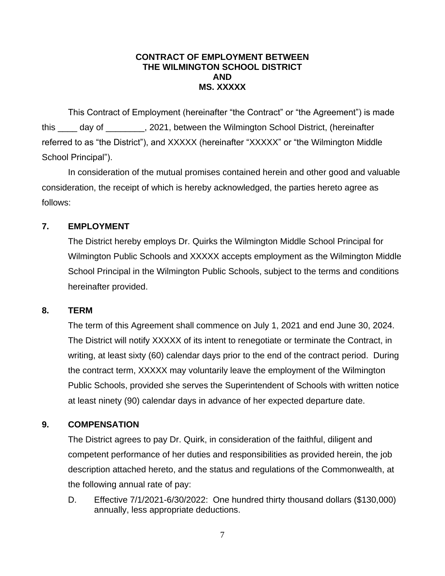### **CONTRACT OF EMPLOYMENT BETWEEN THE WILMINGTON SCHOOL DISTRICT AND MS. XXXXX**

This Contract of Employment (hereinafter "the Contract" or "the Agreement") is made this \_\_\_\_ day of \_\_\_\_\_\_\_\_, 2021, between the Wilmington School District, (hereinafter referred to as "the District"), and XXXXX (hereinafter "XXXXX" or "the Wilmington Middle School Principal").

In consideration of the mutual promises contained herein and other good and valuable consideration, the receipt of which is hereby acknowledged, the parties hereto agree as follows:

# **7. EMPLOYMENT**

The District hereby employs Dr. Quirks the Wilmington Middle School Principal for Wilmington Public Schools and XXXXX accepts employment as the Wilmington Middle School Principal in the Wilmington Public Schools, subject to the terms and conditions hereinafter provided.

# **8. TERM**

The term of this Agreement shall commence on July 1, 2021 and end June 30, 2024. The District will notify XXXXX of its intent to renegotiate or terminate the Contract, in writing, at least sixty (60) calendar days prior to the end of the contract period. During the contract term, XXXXX may voluntarily leave the employment of the Wilmington Public Schools, provided she serves the Superintendent of Schools with written notice at least ninety (90) calendar days in advance of her expected departure date.

# **9. COMPENSATION**

The District agrees to pay Dr. Quirk, in consideration of the faithful, diligent and competent performance of her duties and responsibilities as provided herein, the job description attached hereto, and the status and regulations of the Commonwealth, at the following annual rate of pay:

D. Effective 7/1/2021-6/30/2022: One hundred thirty thousand dollars (\$130,000) annually, less appropriate deductions.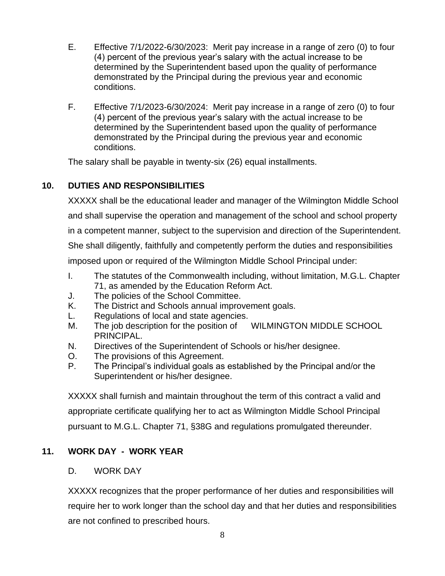- E. Effective 7/1/2022-6/30/2023: Merit pay increase in a range of zero (0) to four (4) percent of the previous year's salary with the actual increase to be determined by the Superintendent based upon the quality of performance demonstrated by the Principal during the previous year and economic conditions.
- F. Effective 7/1/2023-6/30/2024: Merit pay increase in a range of zero (0) to four (4) percent of the previous year's salary with the actual increase to be determined by the Superintendent based upon the quality of performance demonstrated by the Principal during the previous year and economic conditions.

The salary shall be payable in twenty-six (26) equal installments.

# **10. DUTIES AND RESPONSIBILITIES**

XXXXX shall be the educational leader and manager of the Wilmington Middle School and shall supervise the operation and management of the school and school property in a competent manner, subject to the supervision and direction of the Superintendent. She shall diligently, faithfully and competently perform the duties and responsibilities imposed upon or required of the Wilmington Middle School Principal under: I. The statutes of the Commonwealth including, without limitation, M.G.L. Chapter

- 71, as amended by the Education Reform Act.
- J. The policies of the School Committee.
- K. The District and Schools annual improvement goals.
- L. Regulations of local and state agencies.
- M. The job description for the position of WILMINGTON MIDDLE SCHOOL PRINCIPAL.
- N. Directives of the Superintendent of Schools or his/her designee.
- O. The provisions of this Agreement.
- P. The Principal's individual goals as established by the Principal and/or the Superintendent or his/her designee.

XXXXX shall furnish and maintain throughout the term of this contract a valid and appropriate certificate qualifying her to act as Wilmington Middle School Principal pursuant to M.G.L. Chapter 71, §38G and regulations promulgated thereunder.

# **11. WORK DAY - WORK YEAR**

# D. WORK DAY

XXXXX recognizes that the proper performance of her duties and responsibilities will require her to work longer than the school day and that her duties and responsibilities are not confined to prescribed hours.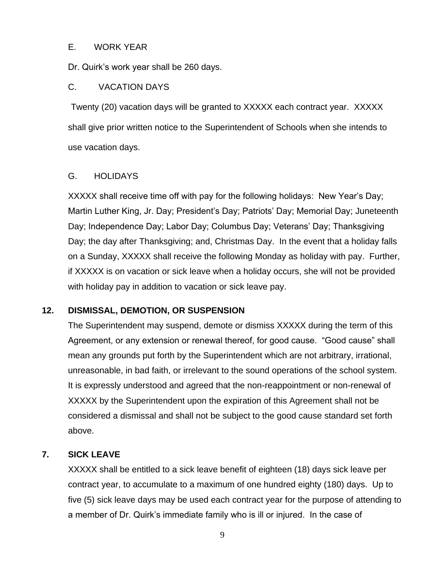#### E. WORK YEAR

Dr. Quirk's work year shall be 260 days.

### C. VACATION DAYS

 Twenty (20) vacation days will be granted to XXXXX each contract year. XXXXX shall give prior written notice to the Superintendent of Schools when she intends to use vacation days.

## G. HOLIDAYS

XXXXX shall receive time off with pay for the following holidays: New Year's Day; Martin Luther King, Jr. Day; President's Day; Patriots' Day; Memorial Day; Juneteenth Day; Independence Day; Labor Day; Columbus Day; Veterans' Day; Thanksgiving Day; the day after Thanksgiving; and, Christmas Day. In the event that a holiday falls on a Sunday, XXXXX shall receive the following Monday as holiday with pay. Further, if XXXXX is on vacation or sick leave when a holiday occurs, she will not be provided with holiday pay in addition to vacation or sick leave pay.

### **12. DISMISSAL, DEMOTION, OR SUSPENSION**

The Superintendent may suspend, demote or dismiss XXXXX during the term of this Agreement, or any extension or renewal thereof, for good cause. "Good cause" shall mean any grounds put forth by the Superintendent which are not arbitrary, irrational, unreasonable, in bad faith, or irrelevant to the sound operations of the school system. It is expressly understood and agreed that the non-reappointment or non-renewal of XXXXX by the Superintendent upon the expiration of this Agreement shall not be considered a dismissal and shall not be subject to the good cause standard set forth above.

# **7. SICK LEAVE**

XXXXX shall be entitled to a sick leave benefit of eighteen (18) days sick leave per contract year, to accumulate to a maximum of one hundred eighty (180) days. Up to five (5) sick leave days may be used each contract year for the purpose of attending to a member of Dr. Quirk's immediate family who is ill or injured. In the case of

9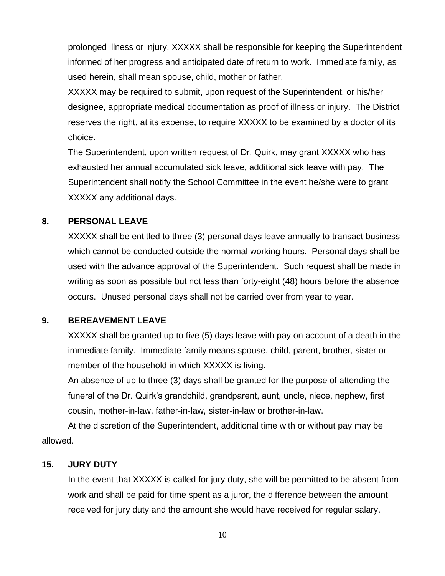prolonged illness or injury, XXXXX shall be responsible for keeping the Superintendent informed of her progress and anticipated date of return to work. Immediate family, as used herein, shall mean spouse, child, mother or father.

XXXXX may be required to submit, upon request of the Superintendent, or his/her designee, appropriate medical documentation as proof of illness or injury. The District reserves the right, at its expense, to require XXXXX to be examined by a doctor of its choice.

The Superintendent, upon written request of Dr. Quirk, may grant XXXXX who has exhausted her annual accumulated sick leave, additional sick leave with pay. The Superintendent shall notify the School Committee in the event he/she were to grant XXXXX any additional days.

## **8. PERSONAL LEAVE**

XXXXX shall be entitled to three (3) personal days leave annually to transact business which cannot be conducted outside the normal working hours. Personal days shall be used with the advance approval of the Superintendent. Such request shall be made in writing as soon as possible but not less than forty-eight (48) hours before the absence occurs. Unused personal days shall not be carried over from year to year.

### **9. BEREAVEMENT LEAVE**

XXXXX shall be granted up to five (5) days leave with pay on account of a death in the immediate family. Immediate family means spouse, child, parent, brother, sister or member of the household in which XXXXX is living.

An absence of up to three (3) days shall be granted for the purpose of attending the funeral of the Dr. Quirk's grandchild, grandparent, aunt, uncle, niece, nephew, first cousin, mother-in-law, father-in-law, sister-in-law or brother-in-law.

At the discretion of the Superintendent, additional time with or without pay may be allowed.

### **15. JURY DUTY**

In the event that XXXXX is called for jury duty, she will be permitted to be absent from work and shall be paid for time spent as a juror, the difference between the amount received for jury duty and the amount she would have received for regular salary.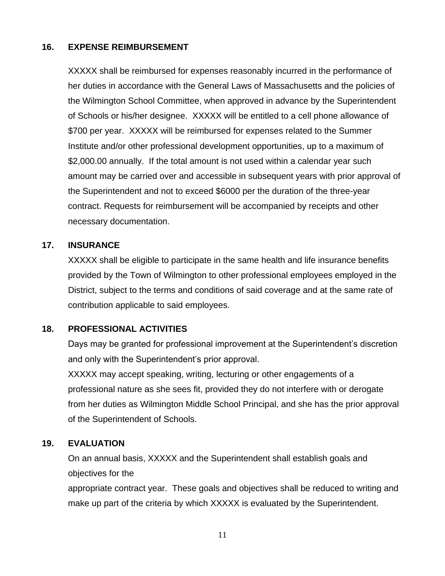## **16. EXPENSE REIMBURSEMENT**

XXXXX shall be reimbursed for expenses reasonably incurred in the performance of her duties in accordance with the General Laws of Massachusetts and the policies of the Wilmington School Committee, when approved in advance by the Superintendent of Schools or his/her designee. XXXXX will be entitled to a cell phone allowance of \$700 per year. XXXXX will be reimbursed for expenses related to the Summer Institute and/or other professional development opportunities, up to a maximum of \$2,000.00 annually. If the total amount is not used within a calendar year such amount may be carried over and accessible in subsequent years with prior approval of the Superintendent and not to exceed \$6000 per the duration of the three-year contract. Requests for reimbursement will be accompanied by receipts and other necessary documentation.

### **17. INSURANCE**

XXXXX shall be eligible to participate in the same health and life insurance benefits provided by the Town of Wilmington to other professional employees employed in the District, subject to the terms and conditions of said coverage and at the same rate of contribution applicable to said employees.

### **18. PROFESSIONAL ACTIVITIES**

Days may be granted for professional improvement at the Superintendent's discretion and only with the Superintendent's prior approval.

XXXXX may accept speaking, writing, lecturing or other engagements of a professional nature as she sees fit, provided they do not interfere with or derogate from her duties as Wilmington Middle School Principal, and she has the prior approval of the Superintendent of Schools.

### **19. EVALUATION**

On an annual basis, XXXXX and the Superintendent shall establish goals and objectives for the

appropriate contract year. These goals and objectives shall be reduced to writing and make up part of the criteria by which XXXXX is evaluated by the Superintendent.